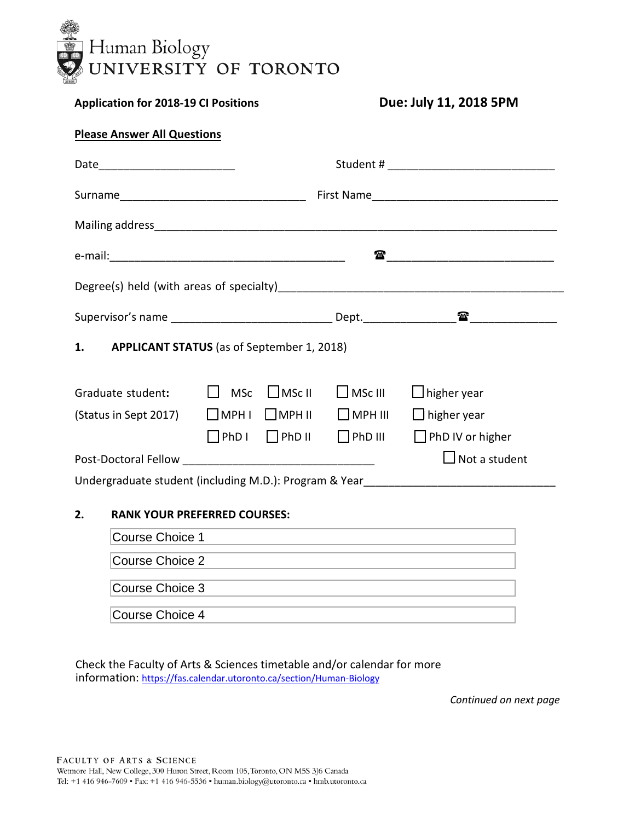|  | $\Box$ $\Box$ $\Box$ $\Box$ $\Box$ |        |
|--|------------------------------------|--------|
|  |                                    |        |
|  |                                    | $\Box$ |

| Course Choice 1 |  |  |
|-----------------|--|--|
| Course Choice 2 |  |  |
| Course Choice 3 |  |  |
| Course Choice 4 |  |  |